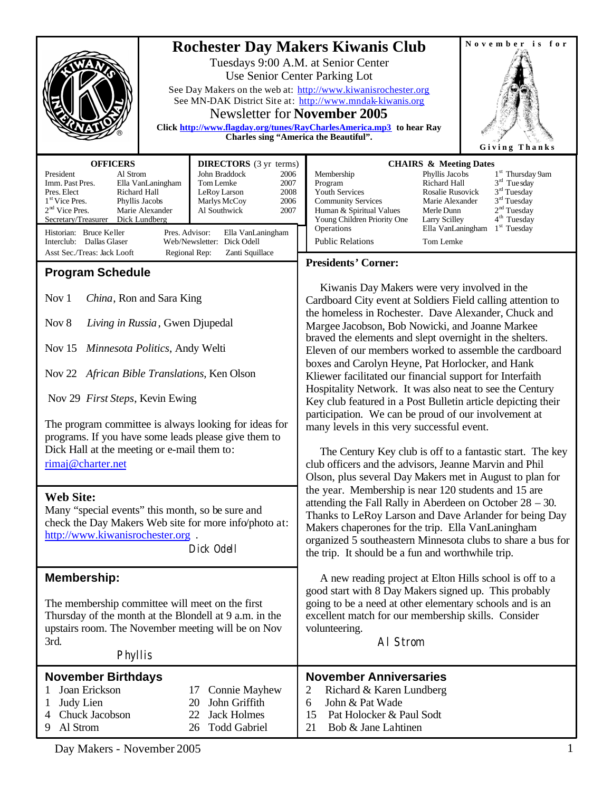|                                                                                                                                                                                                                                                                                                                                                                                                                                                                                                                                                                                                   | November is for<br><b>Rochester Day Makers Kiwanis Club</b><br>Tuesdays 9:00 A.M. at Senior Center<br>Use Senior Center Parking Lot<br>See Day Makers on the web at: http://www.kiwanisrochester.org<br>See MN-DAK District Site at: http://www.mndak-kiwanis.org<br><b>Newsletter for November 2005</b><br>Click http://www.flagday.org/tunes/RayCharlesAmerica.mp3 to hear Ray<br>Charles sing "America the Beautiful".<br>Giving Thanks                                                                                                                                                                                                                                                                                                                                                                                                                                                                                                                              |
|---------------------------------------------------------------------------------------------------------------------------------------------------------------------------------------------------------------------------------------------------------------------------------------------------------------------------------------------------------------------------------------------------------------------------------------------------------------------------------------------------------------------------------------------------------------------------------------------------|-------------------------------------------------------------------------------------------------------------------------------------------------------------------------------------------------------------------------------------------------------------------------------------------------------------------------------------------------------------------------------------------------------------------------------------------------------------------------------------------------------------------------------------------------------------------------------------------------------------------------------------------------------------------------------------------------------------------------------------------------------------------------------------------------------------------------------------------------------------------------------------------------------------------------------------------------------------------------|
| <b>OFFICERS</b><br><b>DIRECTORS</b> (3 yr terms)<br>Al Strom<br>John Braddock<br>President<br>2006<br>Tom Lemke<br>Imm. Past Pres.<br>Ella VanLaningham<br>2007<br>Richard Hall<br>LeRoy Larson<br>Pres. Elect<br>2008<br>1 <sup>st</sup> Vice Pres.<br>Marlys McCoy<br>Phyllis Jacobs<br>2006<br>$2nd$ Vice Pres.<br>Marie Alexander<br>Al Southwick<br>2007<br>Secretary/Treasurer Dick Lundberg<br>Historian: Bruce Keller<br>Pres. Advisor:<br>Ella VanLaningham<br>Interclub: Dallas Glaser<br>Web/Newsletter: Dick Odell<br>Asst Sec./Treas: Jack Looft<br>Regional Rep:<br>Zanti Squillace | <b>CHAIRS &amp; Meeting Dates</b><br>1 <sup>st</sup> Thursday 9am<br>Phyllis Jacobs<br>Membership<br>$3rd$ Tue sday<br>Program<br>Richard Hall<br>$3rd$ Tuesday<br>Youth Services<br>Rosalie Rusovick<br>$3rd$ Tuesday<br><b>Community Services</b><br>Marie Alexander<br>2 <sup>nd</sup> Tuesday<br>Human & Spiritual Values<br>Merle Dunn<br>4 <sup>th</sup> Tuesday<br>Young Children Priority One<br>Larry Scilley<br>Ella VanLaningham<br>$1st$ Tuesday<br>Operations<br><b>Public Relations</b><br>Tom Lemke                                                                                                                                                                                                                                                                                                                                                                                                                                                      |
| <b>Program Schedule</b><br>Nov 1<br>China, Ron and Sara King<br>Nov 8<br>Living in Russia, Gwen Djupedal<br>Nov $15$<br>Minnesota Politics, Andy Welti<br>Nov 22 African Bible Translations, Ken Olson<br>Nov 29 First Steps, Kevin Ewing<br>The program committee is always looking for ideas for<br>programs. If you have some leads please give them to<br>Dick Hall at the meeting or e-mail them to:<br>rimaj@charter.net                                                                                                                                                                    | <b>Presidents' Corner:</b><br>Kiwanis Day Makers were very involved in the<br>Cardboard City event at Soldiers Field calling attention to<br>the homeless in Rochester. Dave Alexander, Chuck and<br>Margee Jacobson, Bob Nowicki, and Joanne Markee<br>braved the elements and slept overnight in the shelters.<br>Eleven of our members worked to assemble the cardboard<br>boxes and Carolyn Heyne, Pat Horlocker, and Hank<br>Kliewer facilitated our financial support for Interfaith<br>Hospitality Network. It was also neat to see the Century<br>Key club featured in a Post Bulletin article depicting their<br>participation. We can be proud of our involvement at<br>many levels in this very successful event.<br>The Century Key club is off to a fantastic start. The key<br>club officers and the advisors, Jeanne Marvin and Phil<br>Olson, plus several Day Makers met in August to plan for<br>the year. Membership is near 120 students and 15 are |
| <b>Web Site:</b><br>Many "special events" this month, so be sure and<br>check the Day Makers Web site for more info/photo at:<br>http://www.kiwanisrochester.org.<br>Dick Odell                                                                                                                                                                                                                                                                                                                                                                                                                   | attending the Fall Rally in Aberdeen on October $28 - 30$ .<br>Thanks to LeRoy Larson and Dave Arlander for being Day<br>Makers chaperones for the trip. Ella VanLaningham<br>organized 5 southeastern Minnesota clubs to share a bus for<br>the trip. It should be a fun and worthwhile trip.                                                                                                                                                                                                                                                                                                                                                                                                                                                                                                                                                                                                                                                                          |
| <b>Membership:</b><br>The membership committee will meet on the first<br>Thursday of the month at the Blondell at 9 a.m. in the<br>upstairs room. The November meeting will be on Nov<br>3rd.<br>Phyllis                                                                                                                                                                                                                                                                                                                                                                                          | A new reading project at Elton Hills school is off to a<br>good start with 8 Day Makers signed up. This probably<br>going to be a need at other elementary schools and is an<br>excellent match for our membership skills. Consider<br>volunteering.<br>AI Strom                                                                                                                                                                                                                                                                                                                                                                                                                                                                                                                                                                                                                                                                                                        |
| <b>November Birthdays</b><br>Joan Erickson<br><b>Connie Mayhew</b><br>17<br>John Griffith<br>Judy Lien<br>20<br>Chuck Jacobson<br><b>Jack Holmes</b><br>22<br>4<br>Al Strom<br><b>Todd Gabriel</b><br>9<br>26                                                                                                                                                                                                                                                                                                                                                                                     | <b>November Anniversaries</b><br>2<br>Richard & Karen Lundberg<br>John & Pat Wade<br>6<br>15<br>Pat Holocker & Paul Sodt<br>Bob & Jane Lahtinen<br>21                                                                                                                                                                                                                                                                                                                                                                                                                                                                                                                                                                                                                                                                                                                                                                                                                   |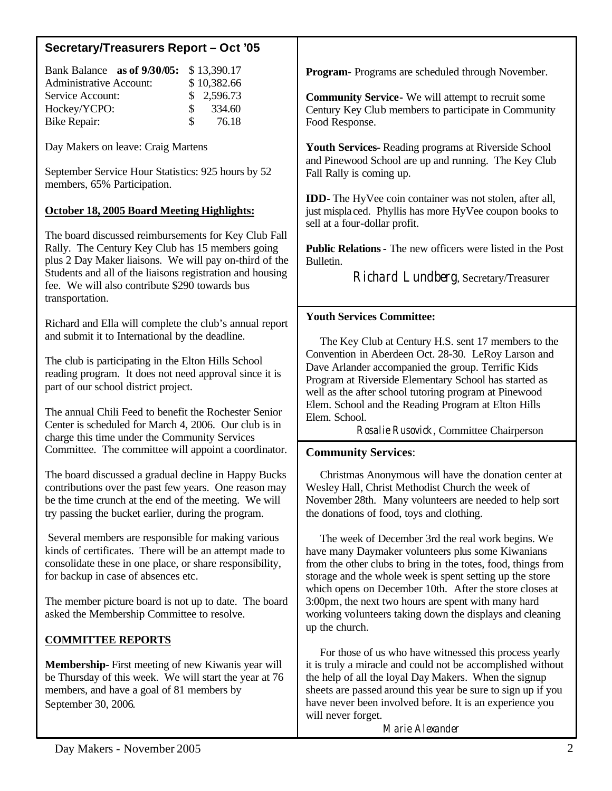| Secretary/Treasurers Report - Oct '05                                                                                                                                                                                         |                                                                                                                                                                                                                                                                                                                                  |
|-------------------------------------------------------------------------------------------------------------------------------------------------------------------------------------------------------------------------------|----------------------------------------------------------------------------------------------------------------------------------------------------------------------------------------------------------------------------------------------------------------------------------------------------------------------------------|
| Bank Balance as of 9/30/05:<br>\$13,390.17<br>\$10,382.66<br><b>Administrative Account:</b><br>2,596.73<br>Service Account:<br>\$                                                                                             | <b>Program-</b> Programs are scheduled through November.                                                                                                                                                                                                                                                                         |
| \$<br>334.60<br>Hockey/YCPO:<br>\$<br>76.18<br><b>Bike Repair:</b>                                                                                                                                                            | <b>Community Service-</b> We will attempt to recruit some<br>Century Key Club members to participate in Community<br>Food Response.                                                                                                                                                                                              |
| Day Makers on leave: Craig Martens                                                                                                                                                                                            | <b>Youth Services-</b> Reading programs at Riverside School<br>and Pinewood School are up and running. The Key Club                                                                                                                                                                                                              |
| September Service Hour Statistics: 925 hours by 52<br>members, 65% Participation.                                                                                                                                             | Fall Rally is coming up.                                                                                                                                                                                                                                                                                                         |
| <b>October 18, 2005 Board Meeting Highlights:</b>                                                                                                                                                                             | <b>IDD-</b> The HyVee coin container was not stolen, after all,<br>just misplaced. Phyllis has more HyVee coupon books to<br>sell at a four-dollar profit.                                                                                                                                                                       |
| The board discussed reimbursements for Key Club Fall<br>Rally. The Century Key Club has 15 members going<br>plus 2 Day Maker liaisons. We will pay on-third of the                                                            | <b>Public Relations - The new officers were listed in the Post</b><br>Bulletin.                                                                                                                                                                                                                                                  |
| Students and all of the liaisons registration and housing<br>fee. We will also contribute \$290 towards bus<br>transportation.                                                                                                | Richard Lundberg, Secretary/Treasurer                                                                                                                                                                                                                                                                                            |
| Richard and Ella will complete the club's annual report                                                                                                                                                                       | <b>Youth Services Committee:</b>                                                                                                                                                                                                                                                                                                 |
| and submit it to International by the deadline.                                                                                                                                                                               | The Key Club at Century H.S. sent 17 members to the<br>Convention in Aberdeen Oct. 28-30. LeRoy Larson and                                                                                                                                                                                                                       |
| The club is participating in the Elton Hills School<br>reading program. It does not need approval since it is<br>part of our school district project.                                                                         | Dave Arlander accompanied the group. Terrific Kids<br>Program at Riverside Elementary School has started as<br>well as the after school tutoring program at Pinewood                                                                                                                                                             |
| The annual Chili Feed to benefit the Rochester Senior<br>Center is scheduled for March 4, 2006. Our club is in<br>charge this time under the Community Services                                                               | Elem. School and the Reading Program at Elton Hills<br>Elem. School.<br>Rosalie Rusovick, Committee Chairperson                                                                                                                                                                                                                  |
| Committee. The committee will appoint a coordinator.                                                                                                                                                                          | <b>Community Services:</b>                                                                                                                                                                                                                                                                                                       |
| The board discussed a gradual decline in Happy Bucks<br>contributions over the past few years. One reason may<br>be the time crunch at the end of the meeting. We will<br>try passing the bucket earlier, during the program. | Christmas Anonymous will have the donation center at<br>Wesley Hall, Christ Methodist Church the week of<br>November 28th. Many volunteers are needed to help sort<br>the donations of food, toys and clothing.                                                                                                                  |
| Several members are responsible for making various<br>kinds of certificates. There will be an attempt made to<br>consolidate these in one place, or share responsibility,<br>for backup in case of absences etc.              | The week of December 3rd the real work begins. We<br>have many Daymaker volunteers plus some Kiwanians<br>from the other clubs to bring in the totes, food, things from<br>storage and the whole week is spent setting up the store<br>which opens on December 10th. After the store closes at                                   |
| The member picture board is not up to date. The board<br>asked the Membership Committee to resolve.                                                                                                                           | 3:00pm, the next two hours are spent with many hard<br>working volunteers taking down the displays and cleaning<br>up the church.                                                                                                                                                                                                |
| <b>COMMITTEE REPORTS</b>                                                                                                                                                                                                      |                                                                                                                                                                                                                                                                                                                                  |
| <b>Membership-</b> First meeting of new Kiwanis year will<br>be Thursday of this week. We will start the year at 76<br>members, and have a goal of 81 members by<br>September 30, 2006.                                       | For those of us who have witnessed this process yearly<br>it is truly a miracle and could not be accomplished without<br>the help of all the loyal Day Makers. When the signup<br>sheets are passed around this year be sure to sign up if you<br>have never been involved before. It is an experience you<br>will never forget. |
|                                                                                                                                                                                                                               |                                                                                                                                                                                                                                                                                                                                  |